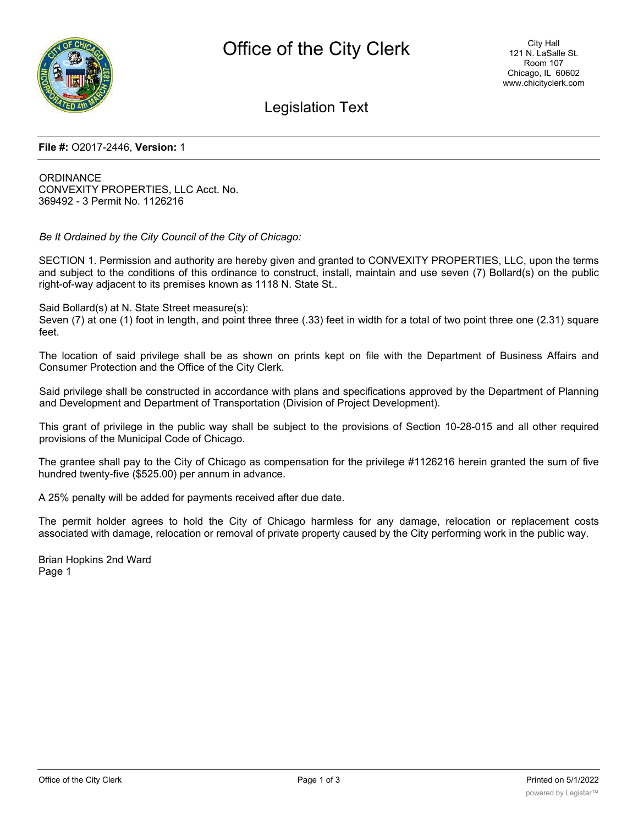

# Legislation Text

#### **File #:** O2017-2446, **Version:** 1

**ORDINANCE** CONVEXITY PROPERTIES, LLC Acct. No. 369492 - 3 Permit No. 1126216

*Be It Ordained by the City Council of the City of Chicago:*

SECTION 1. Permission and authority are hereby given and granted to CONVEXITY PROPERTIES, LLC, upon the terms and subject to the conditions of this ordinance to construct, install, maintain and use seven (7) Bollard(s) on the public right-of-way adjacent to its premises known as 1118 N. State St..

Said Bollard(s) at N. State Street measure(s):

Seven (7) at one (1) foot in length, and point three three (.33) feet in width for a total of two point three one (2.31) square feet.

The location of said privilege shall be as shown on prints kept on file with the Department of Business Affairs and Consumer Protection and the Office of the City Clerk.

Said privilege shall be constructed in accordance with plans and specifications approved by the Department of Planning and Development and Department of Transportation (Division of Project Development).

This grant of privilege in the public way shall be subject to the provisions of Section 10-28-015 and all other required provisions of the Municipal Code of Chicago.

The grantee shall pay to the City of Chicago as compensation for the privilege #1126216 herein granted the sum of five hundred twenty-five (\$525.00) per annum in advance.

A 25% penalty will be added for payments received after due date.

The permit holder agrees to hold the City of Chicago harmless for any damage, relocation or replacement costs associated with damage, relocation or removal of private property caused by the City performing work in the public way.

Brian Hopkins 2nd Ward Page 1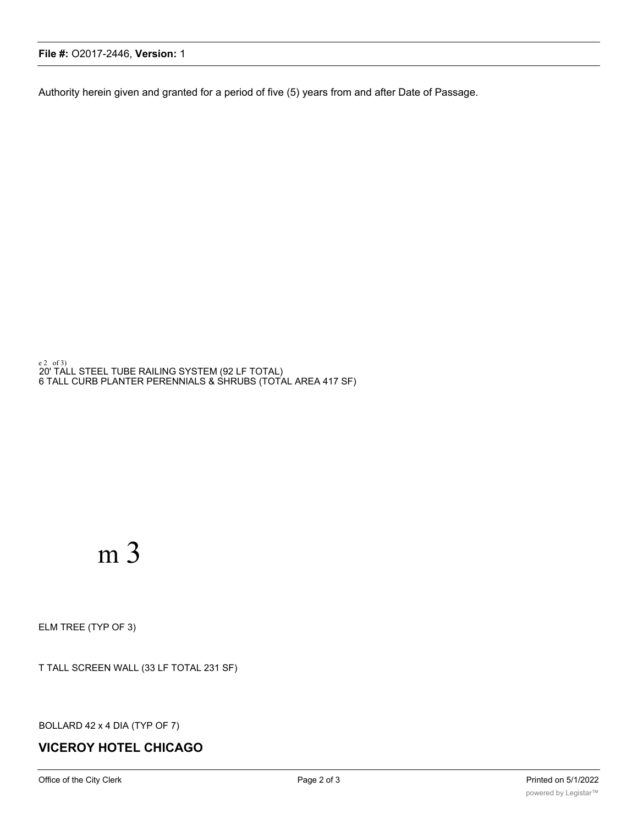## **File #:** O2017-2446, **Version:** 1

Authority herein given and granted for a period of five (5) years from and after Date of Passage.

e2\_of3)<br>20' TALL STEEL TUBE RAILING SYSTEM (92 LF TOTAL) 6 TALL CURB PLANTER PERENNIALS & SHRUBS (TOTAL AREA 417 SF)

# m 3

ELM TREE (TYP OF 3)

T TALL SCREEN WALL (33 LF TOTAL 231 SF)

BOLLARD 42 x 4 DIA (TYP OF 7)

# **VICEROY HOTEL CHICAGO**